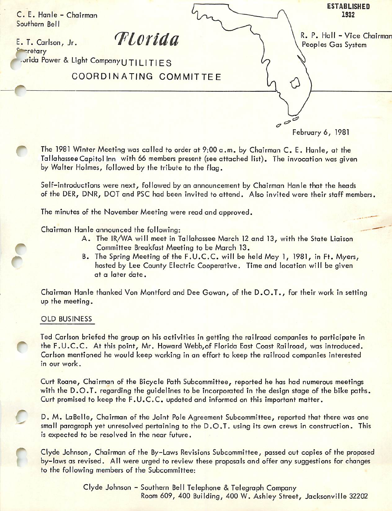ESTABLISHED C. E. Hanle - Chairman Southern Bell E. T. Carlson, Jr. FLOYIda R. P. Hall - Vice Chairman **Sacretary** .orida Power & Light Company UTILITIES COORDINATING COMMITTEE لہ )  $\sigma$ February 6, 1981

The 1981 Winter Meeting was called to order at 9:00 a.m. by Chairman C. E. Hanle, at the Tallahassee Capitol Inn with 66 members present (see attached list). The Invocation was given by Walter Holmes, followed by the tribute to the flag.

Self-introductions were next, followed by an announcement by Chairman Hanle that the heads of the DER, DNR, DOT and PSC had been invited to attend. Also invited were their staff members.

The minutes of the November Meeting were read and approved.

Chairman Hanle announced the following:

- A. The IR/WA will meet in Tallahassee March 12 and 13, with the State Liaison Committee Breakfast Meeting to be March 13.
- B. The Spring Meeting of the F.U.C.C. will be held May 1, 1981, in Ft. Myers, hosted by Lee County Electric Cooperative. Time and location will be given at a later date.

Chairman Hanle thanked Von Montford and Dee Gowan, of the D.O.T., for their work in setting up the meeting.

# OLD BUSINESS

ò

Ted Carlson briefed the group on his activities in getting the railroad companies to participate in the F.U.C.C. At this point, Mr. Howard Webb,of Florida East Coast Railroad, was Introduced. Carlson mentioned he would keep working in an effort to keep the railroad companies interested in our work.

Curt Roane, Chairman of the Bicycle Path Subcommittee, reported he has had numerous meetings with the D.O.T. regarding the guidelines to be incorporated in the design stage of the bike paths. Curt promised to keep the F.U.C.C. updated and informed on this Important matter.

D. M. LaBelle, Chairman of the Joint Pole Agreement Subcommittee, reported that there was one small paragraph yet unresolved pertaining to the D.O.T. using its own crews in construction. This is expected to be resolved in the near future.

Clyde Johnson, Chairman of the By-Laws Revisions Subcommittee, passed out copies of the proposed by-laws as revised. All were urged to review these proposals and offer any suggestions for changes to the following members of the Subcommittee:

> Clyde Johnson - Southern Bell Telephone & Telegraph Company Room 609, 400 Building, 400 W. Ashley Street, Jacksonville 32202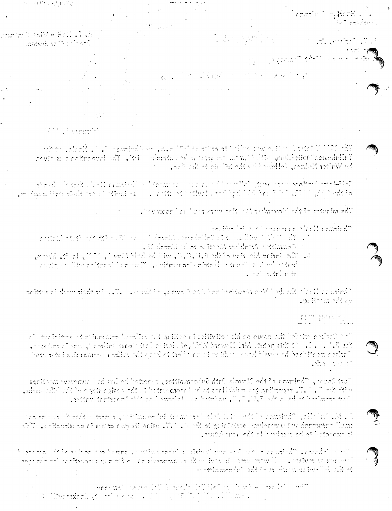e manites)

**Communication** a shi ne katika masharida na masharida na ma  $\mathbf{G}$ 

 $\mathcal{L}_{\text{max}}$  and  $\mathcal{L}_{\text{max}}$  and  $\mathcal{L}_{\text{max}}$ 

matrill solv - FrE S S metale and critered

医三甲烷 网络阿尔

ta ta 1919 yayyuyini

where the first community of the state of the state of the first state of the state of the state of the state revis a hundirenvei all' . All chiessis set integrate the lang. I dive desliciter Mosseighliri by Walter Eslaces, Sollower in the religious to the Fig.

abased only reals of and an interferit only separate comparing the sound of Litrary and the present and to LoT , spekhon tiggenish operatori oxid . . . Treffic of bothy i resoldig fide Solice School (Side Both of Schools

 $\sim$  is vateor, but for a show as itealized make  $\sim$  and the saturity of  $\ell$ 

to the late of the property in the most of

- we see the second distance of the second contribution of the second second  $\mathcal{L}^{\mathcal{M}}$  .
	- , bi dennil ed or or itself unidiosfice officians  $\mathbb{C}$
- A. The Sombac Machine of the S.U.O.C. will be believe it in 1921, in the Abenda and the set of the collision of the contribution of the collection of the collection of the set of the collect  $\mathcal{L}$  and the field  $\mathcal{L}$  and  $\mathcal{L}$

Setting a How that  $N$  of  $\mathbb{R}^n$  ,  $\mathbb{R}^n$  ,  $\mathbb{R}^n$  ,  $\mathbb{R}^n$  ,  $\mathbb{R}^n$  ,  $\mathbb{R}^n$  ,  $\mathbb{R}^n$  ,  $\mathbb{R}^n$  ,  $\mathbb{R}^n$  is the setting  $\mathbb{R}^n$ . pritoria odrica

 $\sqrt{ }$ 

÷.}broH .

ابولا وجواج

of strategies of a innergo breaking the orition of solityitor tid no overs only beholme notice of the the F.C. C. C. At this pehal, MAP, there Wohl in the Fest Cost Cost in the interval and the controls itaturacini shiracano i natita bili chesi ci tasifu an si prithem chesi bluew ed bechitcha chelan والمستحدث والمعاوني

but Long of Chairman of the Rievels Buth Subcommittee, resetted he has had underseement he schied alte D. D. Demonds of the middle in the hot control is the class shows that the bill and the , which interest this set in market for beinfrom  $\mathcal{O}$  ,  $\mathcal{O}$  ,  $\mathcal{O}$  ,  $\mathcal{O}$  ,  $\mathcal{O}$  ,  $\mathcal{O}$  ,  $\mathcal{O}$  ,  $\mathcal{O}$  is dimered in  $\mathcal{O}$ 

On hindelis, Chuimas e the Color Color the hands for an anti-communication of the communication of the color sidi ... Houris de si suore suo si quita .T. La più et gaightrae benioscase ton detrorine liens , sautuk anta ledit e i boxido a sei oi boto text si

the position of the sole on the theory of the position of the state of a state complete of the second of the in securio no confiscabuchi e piño i co eixenento sa di milivor di campionave il collabettivor to successi يُومَ الْأَوْلَى فِي الْأَوْلَى وَأَوْلَى مَنْ حَجَجَهُمْ رَبُّهِمْ الْمَرْكَبِ وَالْكَلَّى وَالْمَسْتَرْبَعَ وَالْمُسْتَرَبّ

operator in the series of the series of the series of the form of the form.<br>[1] The context of the series of the series of the series of the series of the series of the series of the ser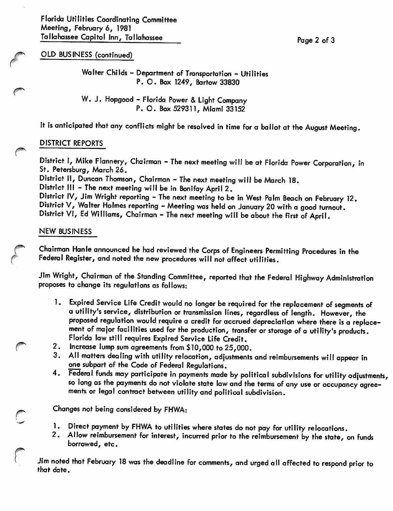OLD BUSINESS (continued)

Walter Childs - Department of Transportation - Utilities P. O. Box 1249, Bortow 33830

W. J. Hopgood - Florida Power & Light Company P. O. Box 529311, Miami 33152

It is anticipated that any conflicts might be resolved in time for a ballot at the August Meeting.

# DISTRICT REPORTS

District I, Mike Flannery, Chairman - The next meeting will be at Florida Power Corporation, in St. Petersburg, March 26.

District II, Duncan Thomson, Chairman - The next meeting will be March 18.

District III - The next meeting will be in Bonifay April 2.

District IV, Jim Wright reporting - The next meeting to be in West Palm Beach on February 12. District V, Walter Holmes reporting - Meeting was held on January 20 with a good turnout. District VI, Ed Williams, Chairman - The next meeting will be about the first of April.

# NEW BUSINESS

Chairman Hanle announced he hod reviewed the Corps of Engineers Permitting Procedures in the Federal Register, and noted the new procedures will not affect utilities.

Jim Wright, Chairman of the Standing Committee, reported that the Federal Highway Administration proposes to change its regulations as follows:

- 1. Expired Service Life Credit would no longer be required for the replacement of segments of a utility's service, distribution or transmission lines, regardless of length. However, the proposed regulation would require a credit for accrued depreciation where there is a replace ment of major facilities used for the production, transfer or storage of a utility's products. Florida law still requires Expired Service Life Credit.
- 2. Increase lump sum agreements from \$10,000 to 25,000.
- 3. All matters dealing with utility relocation, adjustments and reimbursements will appear in one subpart of the Code of Federal Regulations.
- 4. Federal funds may participate in payments made by political subdivisions for utility adjustments, so long as the payments do not violate state law and the terms of any use or occupancy agreements or legal contract between utility and political subdivision.

Changes not being considered by FHWA:

- 1. Direct payment by FHWA to utilities where states do not pay for utility relocations.
- 2. Allow reimbursement for interest, incurred prior to the reimbursement by the state, on funds borrowed, etc.

Jim noted that February 18 was the deadline for comments, and urged all affected to respond prior to that date.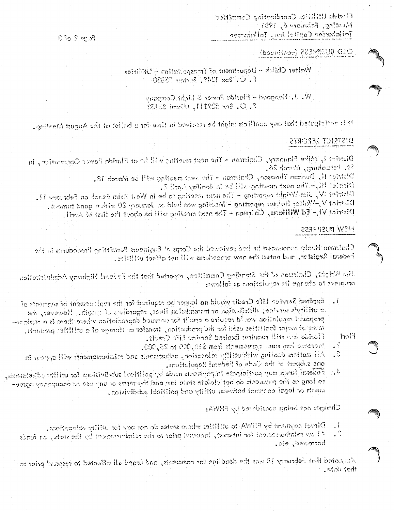Flotfah Ufilitäs Coordinating Committed Meather, February 6, 1981. Inilatorial Capital inn, Tollainson

分泌反应的

# OLD SUSPRESS (continued)

Walter Childs - Department of Irraspointstor - Utilities 0.000 York 12451 Report 0.0000

> W. J. Boogood - Floride Peyer & Light Company P.O. 6c with JUNEAU 58120

It is confident that only conflicts wight be respired in time for a bujiet at the August Massing.

# DISTRICT REPORTS

District t, Mille Flernery, Chairman - The next moeting will be at Florida Power Corporation, in St. Petersburg, Murch 26.

District H, Duncan Thomson, Chairman - The nest meating will be March 18. Dirtict H1, with a next meating will be in Sonifay April 2.

District W, Jim Wight concidence in any case in section to be in Wast Rain Bened on February 12. District V -Walter Holmer reporting - Meeting was held on January 20 with a good tumout. Pistrict VI - Ed Williams, Chimnen - The next meating will be about the first of April.

#### 223F12U9.W3M

Fiol3

Chairman Huale apparated ad educatives the Corps of Engineers Permitting Procedures in the Pederal Register, and noted the new procedures will not affect utilities.

. Him Wright, Chairman of the Steading Committee, reported that the Federal Highway Administration evollet to deeper its requisitions as follows

- Excited Service Life Credit would no longer be required for the replacement of segments of  $\sim$ o utility's survice, distribution or manificial lines, regardle of innerial However, the proposed requirements were require a creatif for excepted depending there if for a righera is a right sermant of mujor facilities used for the production, transfer or stomage of a utilities praducts.
	- Florida ia v still roquires Expired Service Life Crosify.
	- foorsers hunsum. agreements from \$10,000 to 26,900.  $\mathbb{R}^3$ .≎
	- All matters dealing with utility relacetion, adjustesents and reindumentativellight appear in ene subpert of the Code of Pederal Regulutions.
- For derel funds may participate in remember made by political subtivitives for utility adjustates, ∴ģ. so long as the payments do not violate state faw and the terms of any use or occupancy agreements or logal contract between utility and pointsting subdivision.

Changer act being abasidented by  $FAWA$ :

- Direct poymers by FINM to utilities where sintes do not out of the utility relegations.
- Allow relatiourscheaft for interest, incurred prior to the relativescheaft by the stats, on funds , nie "baworned

dito corred that Entoury 18 was the situation for comments, and unsected to the oriented to despend prior to **Catabricat**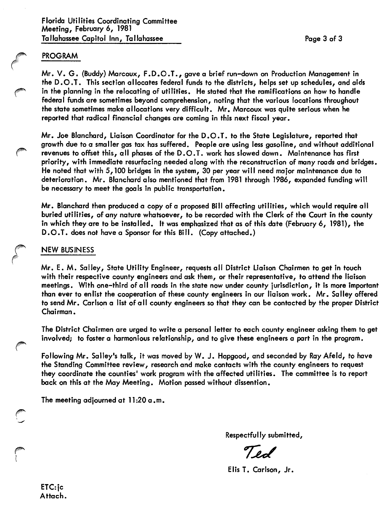## PROGRAM

Mr. V. G. (Buddy) Morcoux, F.D.O.T., gave a brief run-down on Production Management in the D.O.T. This section allocates federal funds to the districts, helps set up schedules, and aids in the planning in the relocating of utilities. He stated that the ramifications on how to handle federal funds are sometimes beyond comprehension, noting that the various locations throughout the state sometimes moke allocations very difficult. Mr. Morcoux was quite serious when he reported that radical financial changes are coming in this next fiscal year.

Mr. Joe Blanchard, Liaison Coordinator for the D.O.T. to the State Legislature, reported that growth due to a smaller gas tax has suffered. People are using less gasoline, and without additional revenues to offset this, all phases of the D.O.T. work has slowed down. Maintenance has first priority, with immediate resurfacing needed along with the reconstruction of many roads and bridges. He noted that with 5,100 bridges in the system, 30 per year will need major maintenance due to deterioration. Mr. Blanchard also mentioned that from 1981 through 1986, expanded funding will be necessary to meet the goals in public transportation.

Mr. Blanchard then produced a copy of a proposed Bill affecting utilities, which would require all buried utilities, of any nature whatsoever, to be recorded with the Clerk of the Court in the county in which they are to be installed. It was emphasized that as of this date (February 6, 1981), the D.O.T. does not have a Sponsor for this Bill. (Copy attached.)

### NEW BUSINESS

Mr. E. M. Salley, State Utility Engineer, requests all District Liaison Chairmen to get in touch with their respective county engineers and ask them, or their representative, to attend the liaison meetings. With one-third of all roads in the state now under county jurisdiction, it is more important than ever to enlist the cooperation of these county engineers in our liaison work. Mr. Salley offered to send Mr. Carlson a list of all county engineers so that they can be contacted by the proper District Chairman.

The District Chairmen are urged to write a personal letter to each county engineer asking them to get involved; to foster a harmonious relationship, and to give these engineers a port in the program.

Following Mr. Sol ley's talk, it was moved by W. J. Hopgood, and seconded by Roy Afeld, to have the Standing Committee review, research and make contacts with the county engineers to request they coordinate the counties' work program with the affected utilities. The committee is to report bock on this at the May Meeting. Motion passed without dissention.

The meeting adjourned at 11:20 a.m.

Respectfully submitted,

Ijte/

Elis T. Carlson, Jr.

ETC:jc Attach.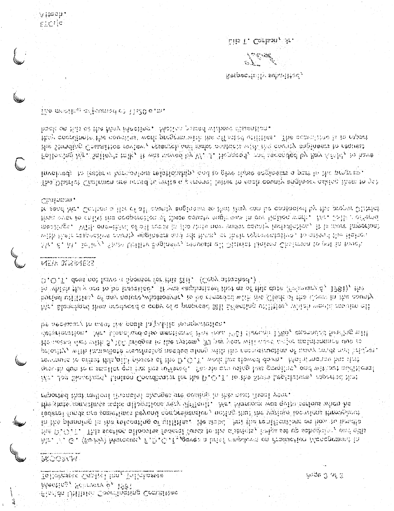Tailekassee Capitei inn, Tailchassee Meeting, Fourery of 1981 Florida Utilitios Copringiana Constituto

## SECOSVW.

reported indirialism illusnolai phanges are quality in the next fiscal year. the state sometimes make allogations very difficult. We'l Warcoux was guite serious when he fadard) funds ora somerimes beyond comprehension, holfag that the various locantons throughout in the planning in the relecciting of utilities. He stated, but the remittedtrian on how to hendla the DLOVT. This section allogores feased foucs to the districts, telps set up scheduler, one edis Altri Vill Gri (Buddy) Maroows, FsDrCli ji jares a brisî mapitovn on Praduction Management in

be necessary to meat the pouls in public transportation. deterioration. Mr. blanchard also mentioned than than 1961 through 1986, expraded finallyg will  $\operatorname{H\acute{e}u}$  also with  $\mathcal{I}_\rho(0)$  bridges in the system,  $\beta\beta$  par year will appel anglor mathrononce and so přiozity, with inniediată rosarfacing needed along with the raccestruction of nany rouds and bridges. revienuos la afisot this alili phases of the D40.11, work has slawed down. Mainimanno but thet grovith due to a smaller eas him has suffered. Peache are using less gasgithe, and without additional  $\mathcal{H}_{\mathcal{F}_\bullet}$  , log-filonchard, Antison Coordinater for the DAO II. to the Sterre Legislature, represed that

 $D$  ,  $Q$  ,  $T$  , does not have a Soonser tor this Rid . (Copy ortanhed ). in vihich they are to be installed. It was emphasized that as of this date (fielswary.d., 1981), the buried utilities, of any nature whoisoever, to be recorded with the Clerk of the Councin the county. filit, Blanchard then produced a copy of a proposed BHI Sflenting utilities, which waith reculto all

## **VE/A 07584/4682**

<u>បូ ដោ</u>ងប្រា sicile

Chairman. te send Mir. Contoon a list of all county enginesis so that they can be contacted by the proper Otstrint živoj evor jo salisi ina ocopercitor el jimas comtv enginears in ove ligiton vicits. Phr. Salis ref<sup>o</sup>renci meatings. With one-third of all seass is the shote now under county furisdiction, it is more important with their respective county applicable and ack tham, ar their representative , to attend the liature Na. 6. M. Schey, State Utility Engineer, requests all District Liaisón Chaimnen to got in touch.

imotred, to inference agencylous relationship, and to give those enginesits a part in the program, The District Chairmon are urced to gaile a porsonal leiter to each county engines asking them to get

beck on his at the May Meeting. Motion passed without classation. they coordinate the countiest work pregram with the off sated utilities. The consulties is to raport die Standing Committee review) resemptionalisake opatsicis with the county engineers to request Following My. Sulloy's talk, it was moved by  $W$ , it. Hengood, and seconded by Ray Archi, in have

 $\overline{\mathbb{R}}$ ne mos $\overline{\mathbb{R}}$ ng as $\overline{\mathbb{R}}$ sumo $\overline{\mathbb{R}}$ as ang ang ang a

Respectfolly subaditody

المنتقلة التي تعالى التي تعالى التي تعالى التي تعالى التي تعالى التي تعالى التي تعالى التي تعالى التي تعالى ال<br>التي تعالى التي تعالى التي تعالى التي تعالى التي تعالى التي تعالى التي تعالى التي تعالى التي تعالى التي تعالى

 $E$ ifa  $T$ . Corlson,  $3r$ .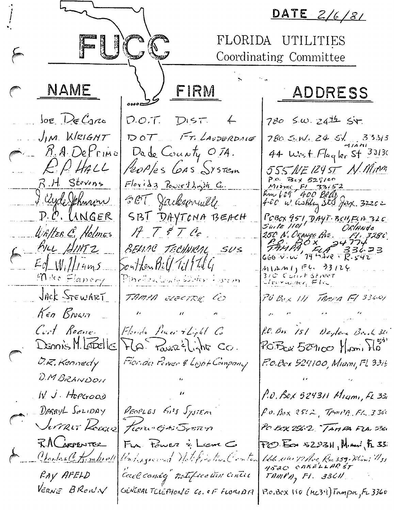DATE 2/6/81 FUC® FLORIDA UTILITIES Coordinating Committee NAME FIRM ADDRESS JOE DE Cara  $D.O.T.$   $D I S.T.$  4 780 S.W. 24th St.  $J_{IM}$  WRIGHT  $7805.042451.33315$ DOT FT. LAUDERDALE R.A. DePrino Dade County OTA. 44 West Flagler St 33130  $k$ PHALL PEOP/ES LOAS SYSTEM 555 NE 1245T N. MiAM R.H. Stevens  $P.0.$  Bex  $52\frac{6}{100}$ Florida Powerthapt C. Misme FI 33152<br>Am 109 400 Belly I Clyde Jehnson 56T Jacksonwell 400 W askley Std Jax. 32202 P. C. LINGER SBI DAYTONA BEACH PCBGX 951, DAYT. BCH, FLA 32C ORIANDO WALLER C. Holmes  $H T 5 T C_0$ 250 N. Ornye Are. 11, 3280.<br>250 N. Ornye Are. 11, 3280.<br>129 BOX 34774.<br>666 V.W 1941800 R. 542  $6 - k\mu\mu$  /3/18/2 BELIAC TECHNICAL SUS  $EdW_i/1$  ans Southern Bill Til 1 Til G MIAMI, EL. 33124<br>310 Court Street<br>Cleuxaster, Ele, Mike Flapery Pinella Rundy Water Lasten JACK STEWART TAMIA ELECTRIC CO 70 Box 111 TAMPA F1 33601 Ken Brown Cost Roane Florida Pract +Light Co P.C. Box 151 Daylors Bouch 340 Dennis M. Friells PO BOX 529100 Himi Flo HA Tavre Wight Co. D.R. Kennedy Florida Pewer & Light Company P.O.Bex 524100, Miami, FL 3315 D.M BRAINDON  $WJ.$  Hoperoas P.O., Bex 529311 Migmi, FL 351 DERRYL SOLIDAY PEOPLES 6135 System  $\rho$ . O. Box 2512, TAMPA, FL 3360 VERRIT RODGER from GAS System PO BOX 256-2 TAMPA FLA. SEL R.A CARPENTER  $F_{\text{L}}$   $F_{\text{c}}$   $F_{\text{c}}$   $F_{\text{c}}$   $F_{\text{c}}$   $F_{\text{c}}$   $F_{\text{c}}$  $F\oslash$  Ex  $s2S3H,$  Mand,  $h$  33: Charles C. Kimbrell Underground Notefination Conten bbb Hw Mhoe Ro 359 Marii 1/31<br>4520 - 648 ELLAR 57<br>TAMPA<sub>G</sub> F1 - 3361 RAY AFELD <sup>l</sup>cecl caméej" notification cintie VERNE BROWN GENERAL TELEFHONE CO. OF FLORIDA 120.Bcx 160 (MC34) Tampa, FL 3360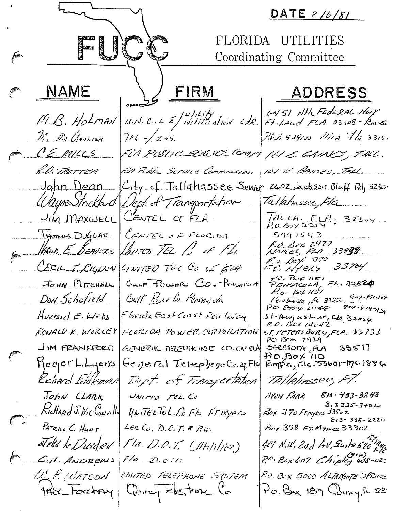DATE 2/6/81 FLORIDA UTILITIES H  $\mathbb{A}$ Coordinating Committee NAME FIRM ADDRESS GY 51 NH FEDERAL HUY<br>Ft. Land FLA 33308 - Rmsi  $u.v.$  C. L E / Heritientien etc. M.B. HoLMAN M. Mc GASLISH P.E.B. 529100 Min Ala 3315.  $7P_6 - 215.$ CE MILLS FIA PUBLIC-EAUXE COMM ICI E. GAINES, TAL. B.O. TROTTER Fin Public Service Commission 101 E. Games, Tall John Dean  $C$ ity of Tallahassee Sewer 2402 Juckson Bluff Rd, 3230. WayneStrickfard Dept. of Transportation Talkhassee, Fla CENTEL OF FLA <u>JIM</u> MAXWELL  $\overline{L}$ ALLA.  $FLA: 3230$ y.  $\rho$ o.  $s$ oy aai $\overline{Y}$ CENTEL OF FLORIDA Tromas DuGGAR  $5991543$ P.O. Box 2477 WITED TEL (3 of FLA Wiken E BEAVERS MANUES, FLA. 33998 Po Box 370 CINTED TEC CO OF FOR CECIL T. RIGDON FT. HYELS  $33904$ P.C. BOR 11E1<br>PENSACOLA GUNF FOWER CO. - Personant JOHN PLITCHELL  $FL.32520$ P. S. Box 1151 DON Schofield Gulf Paur Lo. Pensac da  $G$ ي / وكوبرونغ . كم ن كي Pensuisla pli 32500  $204 - 8 - 29 - 12$  $P^{\circ}$  Prox 1048  $Hexarcl \in Hebb$ Florida EastCoast Pailovay st-Augustine, Ela 32054  $P. O. B$ CA  $1 d_0 d_2$ FLORIDA POWER CORPORATION RONALD K. WORLEY ST PETERSBURY, FLA. 33733  $PO$   $R$ cm  $Z$  $IL$  $I$ JIM FRANKFORD GENERAL TELEPHONE CO.OF FOR SARASOTA, FUI  $3551]$  $P$ 0.Box 110 RegerLhyons General TelephoneCo.afFlo  $\frac{1}{2}$   $\frac{1}{2}$   $\frac{1}{2}$   $\frac{1}{2}$   $\frac{1}{2}$   $\frac{1}{2}$   $\frac{1}{2}$   $\frac{1}{2}$   $\frac{1}{2}$   $\frac{1}{2}$   $\frac{1}{2}$   $\frac{1}{2}$   $\frac{1}{2}$   $\frac{1}{2}$   $\frac{1}{2}$   $\frac{1}{2}$   $\frac{1}{2}$   $\frac{1}{2}$   $\frac{1}{2}$   $\frac{1}{2}$   $\frac{1}{2}$   $\frac{1}{2}$  Rehard Edleman Dept. of Transportation TAllahresee, Fl. JOHN CLARK UNITED TEL. Co Aron Park 813 . 753 - 3243 313335-3402  $K$ IcHARd J. McConvilla UNITED TEL. Co. Fla FTMyers Box 37o Frmyers 338o z  $813 - 335 - 2220$ LEE CO, D.O.T. & P.W. PATRICK C. HUNT Box 398 FT. MYERS 33902 eteka le Durdeu Fla. D.O.T. (Atililier) 401 Nill. 2nd Av. Suite 520 P.C. Box 607 Chipley 438-02: C.H. ANDREWS  $f/e$  D.O.T. UNITED TELEPHONE SYSTEM U. P. WATSON P.O. BOX 5000 ALTAMONTE SPRING take Forshan Po. Box 189 Comey, R 33 Coming Ketspore la